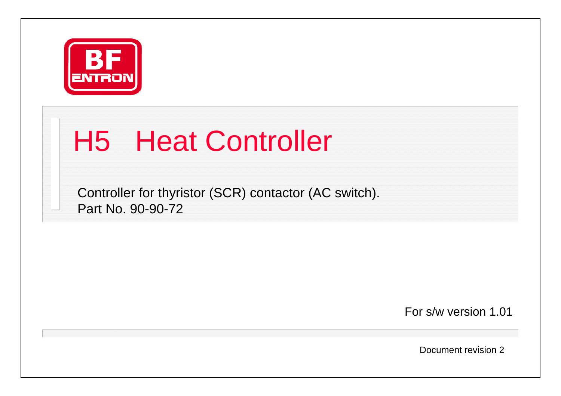

## H5 Heat Controller

Controller for thyristor (SCR) contactor (AC switch). Part No. 90-90-72

For s/w version 1.01

Document revision 2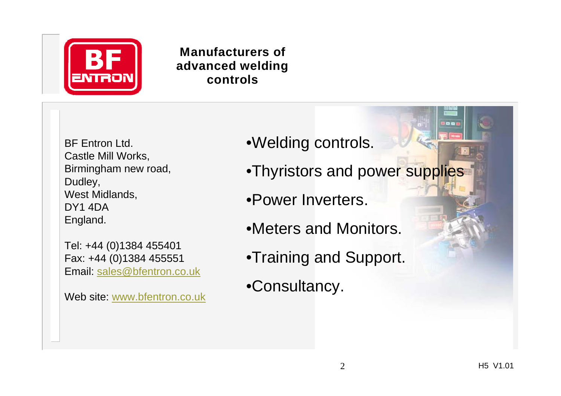

#### **Manufacturers of advanced welding controls**

BF Entron Ltd.Castle Mill Works, Birmingham new road, Dudley, West Midlands, DY1 4DAEngland.

Tel: +44 (0)1384 455401 Fax: +44 (0)1384 455551 Email: sales@bfentron.co.uk

Web site: www.bfentron.co.uk

- •Welding controls.
- •Thyristors and power supplies
- •Power Inverters.
- •Meters and Monitors.
- •Training and Support.
- •Consultancy.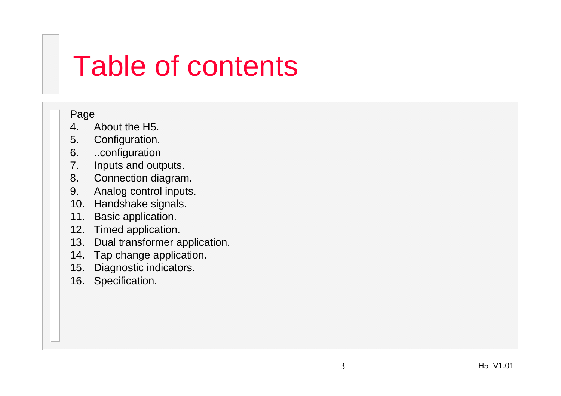#### Table of contents

#### Page

- 4. About the H5.
- 5. Configuration.
- 6. ..configuration
- 7. Inputs and outputs.
- 8. Connection diagram.
- 9. Analog control inputs.
- 10. Handshake signals.
- 11. Basic application.
- 12. Timed application.
- 13. Dual transformer application.
- 14. Tap change application.
- 15. Diagnostic indicators.
- 16. Specification.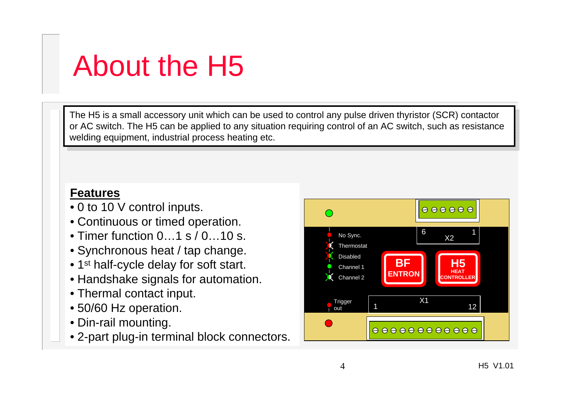## About the H5

The H5 is a small accessory unit which can be used to control any pulse driven thyristor (SCR) contactor (SCR) contactor or AC switch. The H5 can be applied to any situation requiring control of an AC switch, such as resistance or AC switch. The H5 can be applied to any situation requiring control of an AC switch, such as resistance welding equipment, industrial process heating etc. welding equipment, industrial process heating etc.

#### **Features**

- 0 to 10 V control inputs.
- Continuous or timed operation.
- Timer function 0…1 s / 0…10 s.
- Synchronous heat / tap change.
- $\bullet$  1 $^{\rm st}$  half-cycle delay for soft start.
- Handshake signals for automation.
- Thermal contact input.
- 50/60 Hz operation.
- Din-rail mounting.
- 2-part plug-in terminal block connectors.

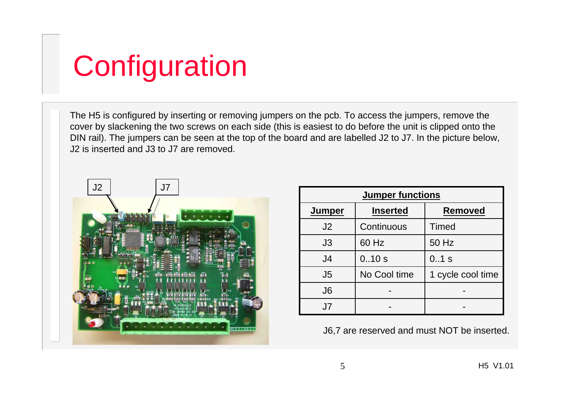# **Configuration**

The H5 is configured by inserting or removing jumpers on the pcb. To access the jumpers, remove the cover by slackening the two screws on each side (this is easiest to do before the unit is clipped onto the DIN rail). The jumpers can be seen at the top of the board and are labelled J2 to J7. In the picture below, J2 is inserted and J3 to J7 are removed.



| <b>Jumper functions</b> |                 |                   |  |
|-------------------------|-----------------|-------------------|--|
| <b>Jumper</b>           | <b>Inserted</b> | <b>Removed</b>    |  |
| J2                      | Continuous      | <b>Timed</b>      |  |
| J3                      | 60 Hz           | 50 Hz             |  |
| J <sub>4</sub>          | 0.10s           | 0.1 s             |  |
| J <sub>5</sub>          | No Cool time    | 1 cycle cool time |  |
| J <sub>6</sub>          |                 |                   |  |
| J7                      |                 |                   |  |

J6,7 are reserved and must NOT be inserted.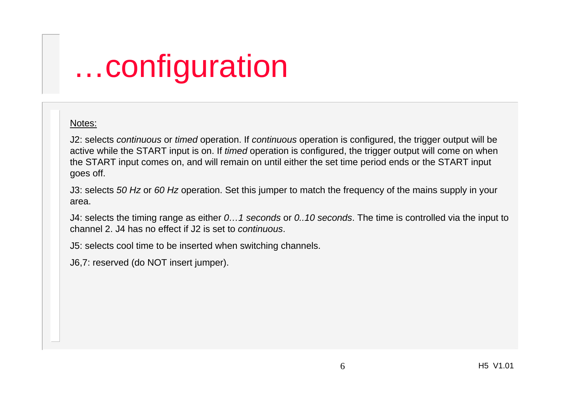# …configuration

#### Notes:

J2: selects *continuous* or *timed* operation. If *continuous* operation is configured, the trigger output will be active while the START input is on. If *timed* operation is configured, the trigger output will come on when the START input comes on, and will remain on until either the set time period ends or the START input goes off.

J3: selects *50 Hz* or *60 Hz* operation. Set this jumper to match the frequency of the mains supply in your area.

J4: selects the timing range as either *0…1 seconds* or *0..10 seconds*. The time is controlled via the input to channel 2. J4 has no effect if J2 is set to *continuous*.

J5: selects cool time to be inserted when switching channels.

J6,7: reserved (do NOT insert jumper).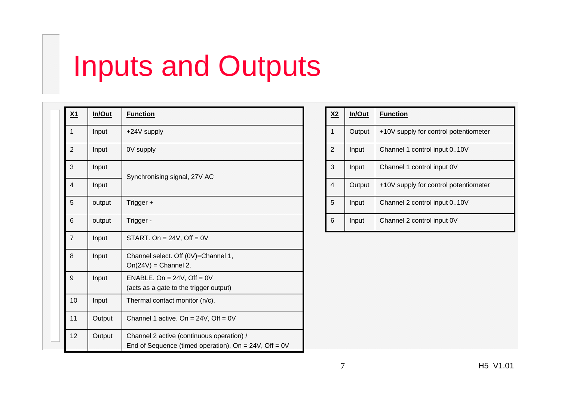#### Inputs and Outputs

|  | <u>X1</u>      | In/Out | <b>Function</b>                                                                                       |  |
|--|----------------|--------|-------------------------------------------------------------------------------------------------------|--|
|  | $\mathbf{1}$   | Input  | +24V supply                                                                                           |  |
|  | $\overline{2}$ | Input  | 0V supply                                                                                             |  |
|  | 3              | Input  | Synchronising signal, 27V AC                                                                          |  |
|  | $\overline{4}$ | Input  |                                                                                                       |  |
|  | 5              | output | Trigger +                                                                                             |  |
|  | 6              | output | Trigger -                                                                                             |  |
|  | $\overline{7}$ | Input  | START. On = $24V$ , Off = $0V$                                                                        |  |
|  | 8              | Input  | Channel select. Off (0V)=Channel 1,<br>$On(24V) = Channel 2.$                                         |  |
|  | 9              | Input  | ENABLE. On = $24V$ , Off = $0V$<br>(acts as a gate to the trigger output)                             |  |
|  | 10             | Input  | Thermal contact monitor (n/c).                                                                        |  |
|  | 11             | Output | Channel 1 active. On = $24V$ , Off = 0V                                                               |  |
|  | 12             | Output | Channel 2 active (continuous operation) /<br>End of Sequence (timed operation). On = $24V$ , Off = 0V |  |

| <u>X2</u>      | In/Out | <b>Function</b>                       |
|----------------|--------|---------------------------------------|
| 1              | Output | +10V supply for control potentiometer |
| $\overline{2}$ | Input  | Channel 1 control input 010V          |
| 3              | Input  | Channel 1 control input 0V            |
| $\overline{4}$ | Output | +10V supply for control potentiometer |
| 5              | Input  | Channel 2 control input 010V          |
| 6              | Input  | Channel 2 control input 0V            |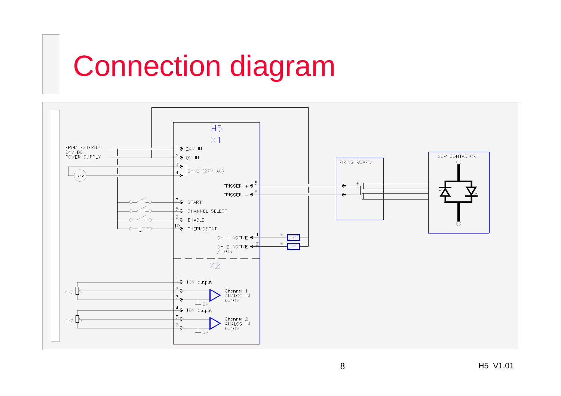### Connection diagram

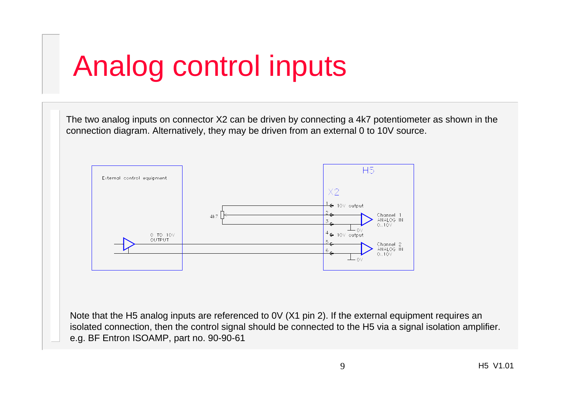### Analog control inputs

The two analog inputs on connector X2 can be driven by connecting a 4k7 potentiometer as shown in the connection diagram. Alternatively, they may be driven from an external 0 to 10V source.



Note that the H5 analog inputs are referenced to 0V (X1 pin 2). If the external equipment requires an isolated connection, then the control signal should be connected to the H5 via a signal isolation amplifier. e.g. BF Entron ISOAMP, part no. 90-90-61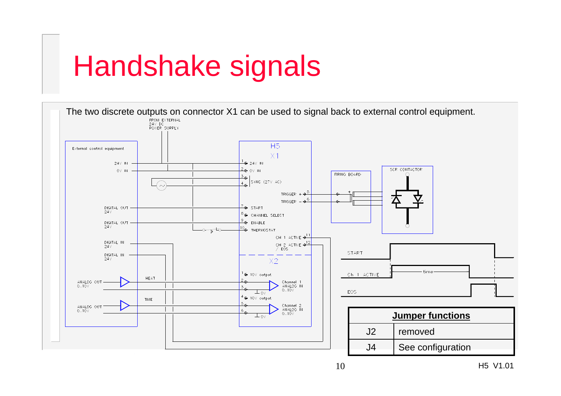# Handshake signals

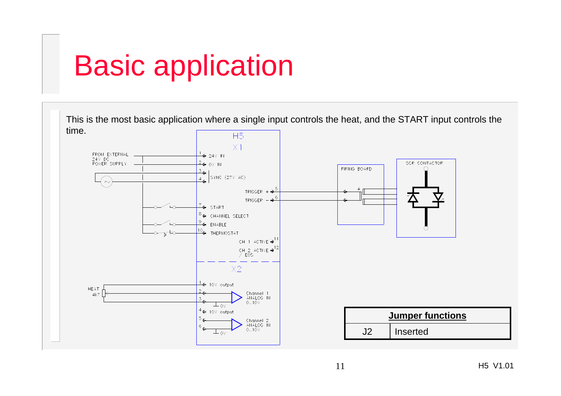## Basic application

This is the most basic application where a single input controls the heat, and the START input controls the

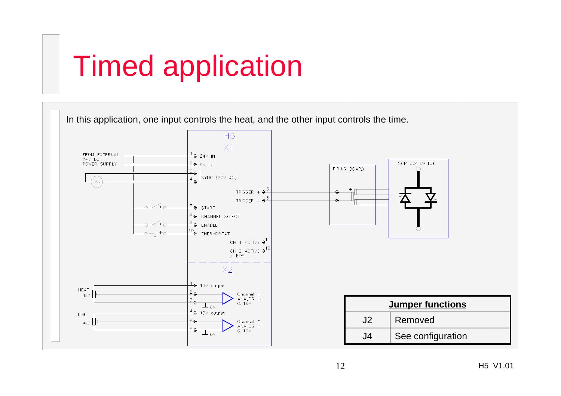# Timed application

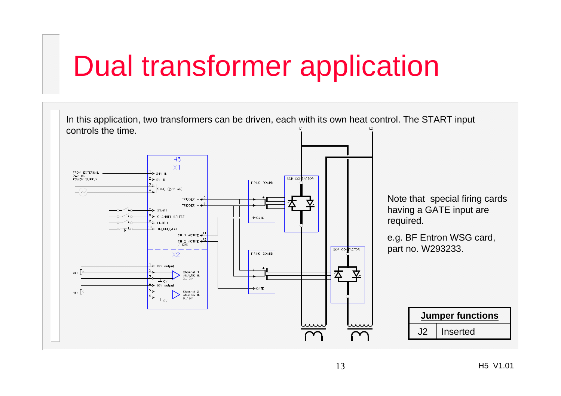#### Dual transformer application

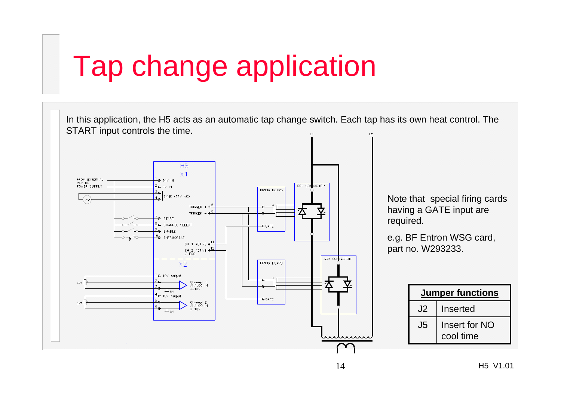#### Tap change application

In this application, the H5 acts as an automatic tap change switch. Each tap has its own heat control. The START input controls the time. **H5**  $X1$ FROM EXTERNAL<br>24V DC<br>POWER SUPPLY SCR CONTACTOR  $-0y_0$ FIRING BOARD SYNC (27V AC) Note that special firing cards TRIGGER having a GATE input are π TRIGGER  $\rightarrow$   $\frac{6}{5}$ - START required. <sup>3</sup>CHANNEL SELECT  $\leftarrow$  GATE  $9 \leftarrow$  ENABLE 10<sub>€</sub> THERMOSTAT e.g. BF Entron WSG card, CH 1 ACTIVE  $\rightarrow$ part no. W293233.CH 2 ACTIVE  $\frac{12}{\sqrt{2}}$ SCR CONTACTOR FIRING BOARD  $X2$ 10V output Channel 1<br>ANALOG IN<br>0..10V  $\mathbf Z$  $\pm$  ov **Jumper functions** - 10V output  $\leftarrow$  GATE Channel 2<br>ANALOG IN<br>0..10V  $J<sub>2</sub>$  Inserted  $\pm$ ov J5Insert for NO cool time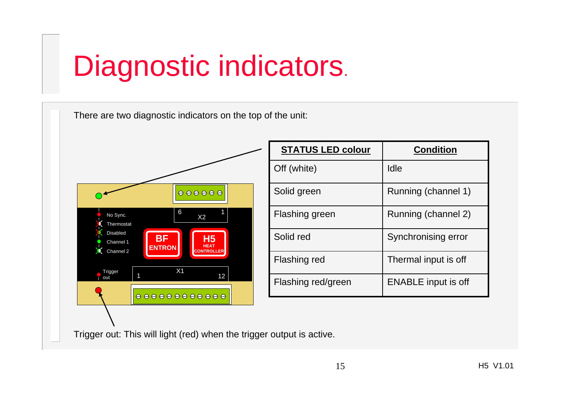# Diagnostic indicators.